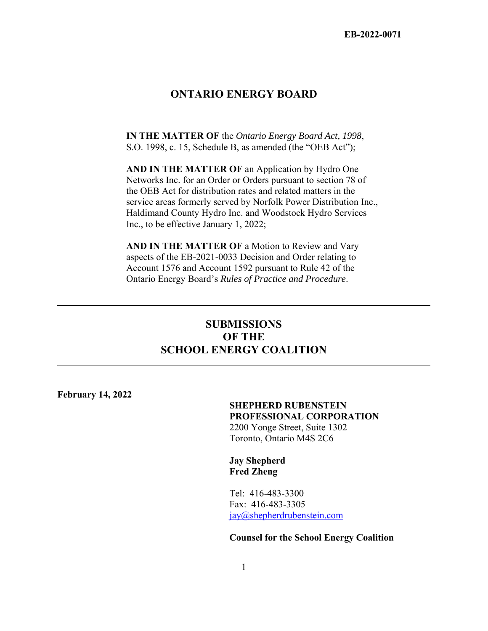## **ONTARIO ENERGY BOARD**

**IN THE MATTER OF** the *Ontario Energy Board Act, 1998*, S.O. 1998, c. 15, Schedule B, as amended (the "OEB Act");

**AND IN THE MATTER OF** an Application by Hydro One Networks Inc. for an Order or Orders pursuant to section 78 of the OEB Act for distribution rates and related matters in the service areas formerly served by Norfolk Power Distribution Inc., Haldimand County Hydro Inc. and Woodstock Hydro Services Inc., to be effective January 1, 2022;

**AND IN THE MATTER OF a Motion to Review and Vary** aspects of the EB-2021-0033 Decision and Order relating to Account 1576 and Account 1592 pursuant to Rule 42 of the Ontario Energy Board's *Rules of Practice and Procedure*.

# **SUBMISSIONS OF THE SCHOOL ENERGY COALITION**

**February 14, 2022** 

#### **SHEPHERD RUBENSTEIN PROFESSIONAL CORPORATION** 2200 Yonge Street, Suite 1302 Toronto, Ontario M4S 2C6

 **Jay Shepherd Fred Zheng** 

 Tel: 416-483-3300 Fax: 416-483-3305 jay@shepherdrubenstein.com

#### **Counsel for the School Energy Coalition**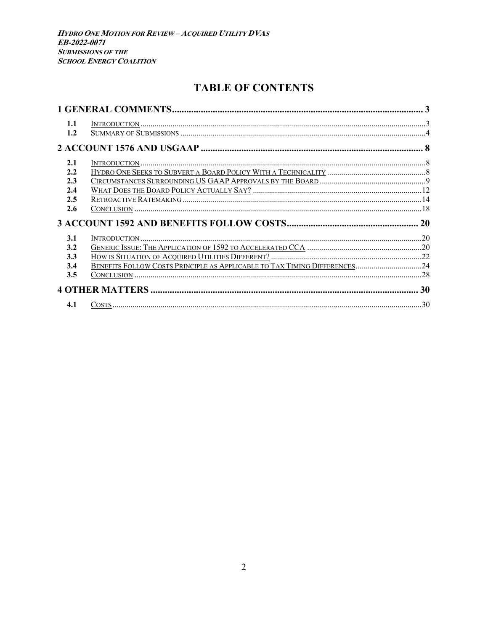# **TABLE OF CONTENTS**

| 1.1 |                                                                           |  |
|-----|---------------------------------------------------------------------------|--|
| 1.2 |                                                                           |  |
|     |                                                                           |  |
| 2.1 |                                                                           |  |
| 2.2 |                                                                           |  |
| 2.3 |                                                                           |  |
| 2.4 |                                                                           |  |
| 2.5 |                                                                           |  |
|     |                                                                           |  |
| 2.6 |                                                                           |  |
|     |                                                                           |  |
| 3.1 |                                                                           |  |
| 3.2 |                                                                           |  |
| 3.3 |                                                                           |  |
| 3.4 |                                                                           |  |
| 3.5 | BENEFITS FOLLOW COSTS PRINCIPLE AS APPLICABLE TO TAX TIMING DIFFERENCES24 |  |
|     |                                                                           |  |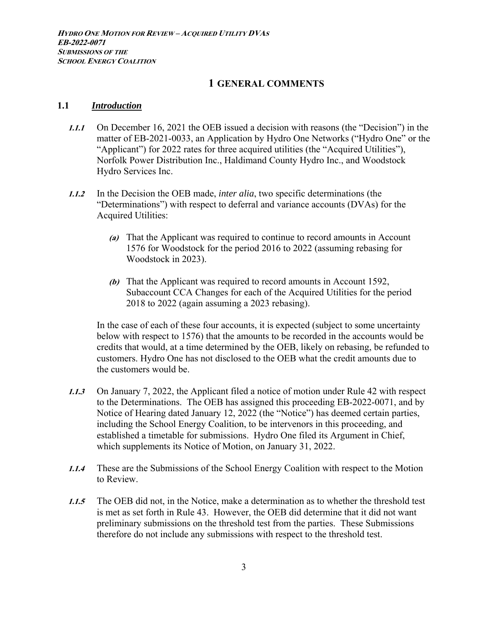## **1 GENERAL COMMENTS**

#### **1.1** *Introduction*

- **1.1.1** On December 16, 2021 the OEB issued a decision with reasons (the "Decision") in the matter of EB-2021-0033, an Application by Hydro One Networks ("Hydro One" or the "Applicant") for 2022 rates for three acquired utilities (the "Acquired Utilities"), Norfolk Power Distribution Inc., Haldimand County Hydro Inc., and Woodstock Hydro Services Inc.
- **1.1.2** In the Decision the OEB made, *inter alia*, two specific determinations (the "Determinations") with respect to deferral and variance accounts (DVAs) for the Acquired Utilities:
	- **(a)** That the Applicant was required to continue to record amounts in Account 1576 for Woodstock for the period 2016 to 2022 (assuming rebasing for Woodstock in 2023).
	- **(b)** That the Applicant was required to record amounts in Account 1592, Subaccount CCA Changes for each of the Acquired Utilities for the period 2018 to 2022 (again assuming a 2023 rebasing).

In the case of each of these four accounts, it is expected (subject to some uncertainty below with respect to 1576) that the amounts to be recorded in the accounts would be credits that would, at a time determined by the OEB, likely on rebasing, be refunded to customers. Hydro One has not disclosed to the OEB what the credit amounts due to the customers would be.

- **1.1.3** On January 7, 2022, the Applicant filed a notice of motion under Rule 42 with respect to the Determinations. The OEB has assigned this proceeding EB-2022-0071, and by Notice of Hearing dated January 12, 2022 (the "Notice") has deemed certain parties, including the School Energy Coalition, to be intervenors in this proceeding, and established a timetable for submissions. Hydro One filed its Argument in Chief, which supplements its Notice of Motion, on January 31, 2022.
- **1.1.4** These are the Submissions of the School Energy Coalition with respect to the Motion to Review.
- **1.1.5** The OEB did not, in the Notice, make a determination as to whether the threshold test is met as set forth in Rule 43. However, the OEB did determine that it did not want preliminary submissions on the threshold test from the parties. These Submissions therefore do not include any submissions with respect to the threshold test.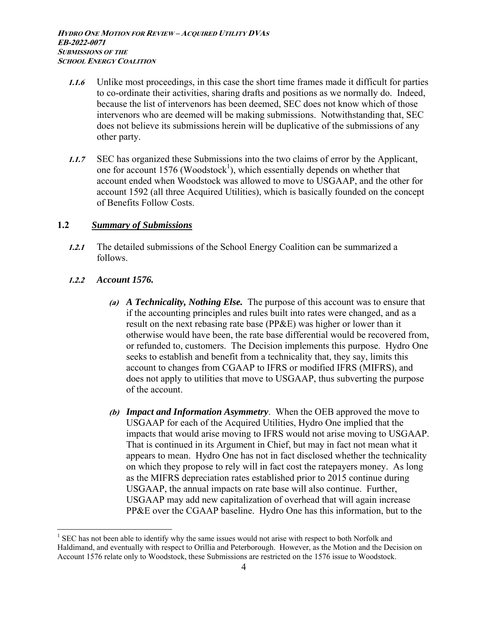- **1.1.6** Unlike most proceedings, in this case the short time frames made it difficult for parties to co-ordinate their activities, sharing drafts and positions as we normally do. Indeed, because the list of intervenors has been deemed, SEC does not know which of those intervenors who are deemed will be making submissions. Notwithstanding that, SEC does not believe its submissions herein will be duplicative of the submissions of any other party.
- **1.1.7** SEC has organized these Submissions into the two claims of error by the Applicant, one for account 1576 (Woodstock<sup>1</sup>), which essentially depends on whether that account ended when Woodstock was allowed to move to USGAAP, and the other for account 1592 (all three Acquired Utilities), which is basically founded on the concept of Benefits Follow Costs.

#### **1.2** *Summary of Submissions*

- **1.2.1** The detailed submissions of the School Energy Coalition can be summarized a follows.
- **1.2.2** *Account 1576.*

- **(a)** *A Technicality, Nothing Else.* The purpose of this account was to ensure that if the accounting principles and rules built into rates were changed, and as a result on the next rebasing rate base (PP&E) was higher or lower than it otherwise would have been, the rate base differential would be recovered from, or refunded to, customers. The Decision implements this purpose. Hydro One seeks to establish and benefit from a technicality that, they say, limits this account to changes from CGAAP to IFRS or modified IFRS (MIFRS), and does not apply to utilities that move to USGAAP, thus subverting the purpose of the account.
- **(b)** *Impact and Information Asymmetry*. When the OEB approved the move to USGAAP for each of the Acquired Utilities, Hydro One implied that the impacts that would arise moving to IFRS would not arise moving to USGAAP. That is continued in its Argument in Chief, but may in fact not mean what it appears to mean. Hydro One has not in fact disclosed whether the technicality on which they propose to rely will in fact cost the ratepayers money. As long as the MIFRS depreciation rates established prior to 2015 continue during USGAAP, the annual impacts on rate base will also continue. Further, USGAAP may add new capitalization of overhead that will again increase PP&E over the CGAAP baseline. Hydro One has this information, but to the

 $1$  SEC has not been able to identify why the same issues would not arise with respect to both Norfolk and Haldimand, and eventually with respect to Orillia and Peterborough. However, as the Motion and the Decision on Account 1576 relate only to Woodstock, these Submissions are restricted on the 1576 issue to Woodstock.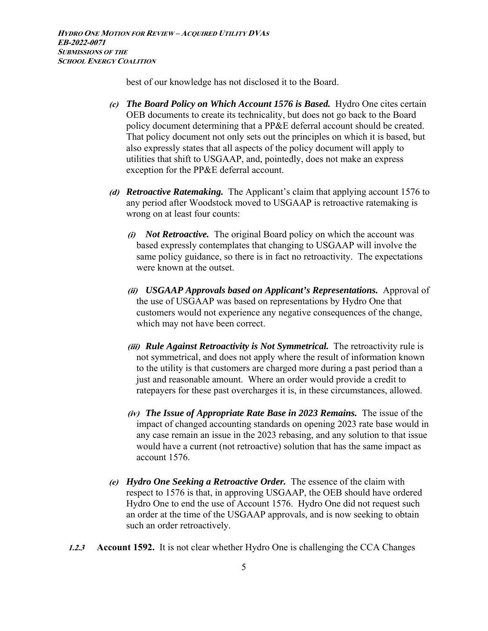best of our knowledge has not disclosed it to the Board.

- **(c)** *The Board Policy on Which Account 1576 is Based.* Hydro One cites certain OEB documents to create its technicality, but does not go back to the Board policy document determining that a PP&E deferral account should be created. That policy document not only sets out the principles on which it is based, but also expressly states that all aspects of the policy document will apply to utilities that shift to USGAAP, and, pointedly, does not make an express exception for the PP&E deferral account.
- **(d)** *Retroactive Ratemaking.* The Applicant's claim that applying account 1576 to any period after Woodstock moved to USGAAP is retroactive ratemaking is wrong on at least four counts:
	- **(i)** *Not Retroactive.* The original Board policy on which the account was based expressly contemplates that changing to USGAAP will involve the same policy guidance, so there is in fact no retroactivity. The expectations were known at the outset.
	- **(ii)** *USGAAP Approvals based on Applicant's Representations.* Approval of the use of USGAAP was based on representations by Hydro One that customers would not experience any negative consequences of the change, which may not have been correct.
	- **(iii)** *Rule Against Retroactivity is Not Symmetrical.* The retroactivity rule is not symmetrical, and does not apply where the result of information known to the utility is that customers are charged more during a past period than a just and reasonable amount. Where an order would provide a credit to ratepayers for these past overcharges it is, in these circumstances, allowed.
	- **(iv)** *The Issue of Appropriate Rate Base in 2023 Remains.* The issue of the impact of changed accounting standards on opening 2023 rate base would in any case remain an issue in the 2023 rebasing, and any solution to that issue would have a current (not retroactive) solution that has the same impact as account 1576.
- **(e)** *Hydro One Seeking a Retroactive Order.* The essence of the claim with respect to 1576 is that, in approving USGAAP, the OEB should have ordered Hydro One to end the use of Account 1576. Hydro One did not request such an order at the time of the USGAAP approvals, and is now seeking to obtain such an order retroactively.
- **1.2.3 Account 1592.** It is not clear whether Hydro One is challenging the CCA Changes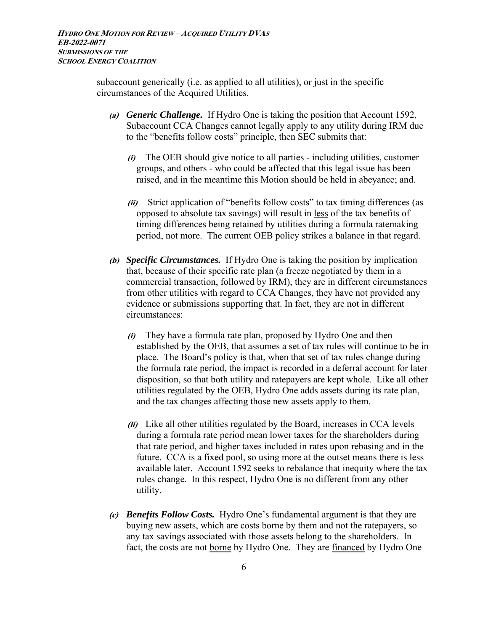subaccount generically (i.e. as applied to all utilities), or just in the specific circumstances of the Acquired Utilities.

- **(a)** *Generic Challenge.* If Hydro One is taking the position that Account 1592, Subaccount CCA Changes cannot legally apply to any utility during IRM due to the "benefits follow costs" principle, then SEC submits that:
	- **(i)** The OEB should give notice to all parties including utilities, customer groups, and others - who could be affected that this legal issue has been raised, and in the meantime this Motion should be held in abeyance; and.
	- **(ii)** Strict application of "benefits follow costs" to tax timing differences (as opposed to absolute tax savings) will result in less of the tax benefits of timing differences being retained by utilities during a formula ratemaking period, not more. The current OEB policy strikes a balance in that regard.
- **(b)** *Specific Circumstances.* If Hydro One is taking the position by implication that, because of their specific rate plan (a freeze negotiated by them in a commercial transaction, followed by IRM), they are in different circumstances from other utilities with regard to CCA Changes, they have not provided any evidence or submissions supporting that. In fact, they are not in different circumstances:
	- **(i)** They have a formula rate plan, proposed by Hydro One and then established by the OEB, that assumes a set of tax rules will continue to be in place. The Board's policy is that, when that set of tax rules change during the formula rate period, the impact is recorded in a deferral account for later disposition, so that both utility and ratepayers are kept whole. Like all other utilities regulated by the OEB, Hydro One adds assets during its rate plan, and the tax changes affecting those new assets apply to them.
	- **(ii)** Like all other utilities regulated by the Board, increases in CCA levels during a formula rate period mean lower taxes for the shareholders during that rate period, and higher taxes included in rates upon rebasing and in the future. CCA is a fixed pool, so using more at the outset means there is less available later. Account 1592 seeks to rebalance that inequity where the tax rules change. In this respect, Hydro One is no different from any other utility.
- **(c)** *Benefits Follow Costs.* Hydro One's fundamental argument is that they are buying new assets, which are costs borne by them and not the ratepayers, so any tax savings associated with those assets belong to the shareholders. In fact, the costs are not borne by Hydro One. They are financed by Hydro One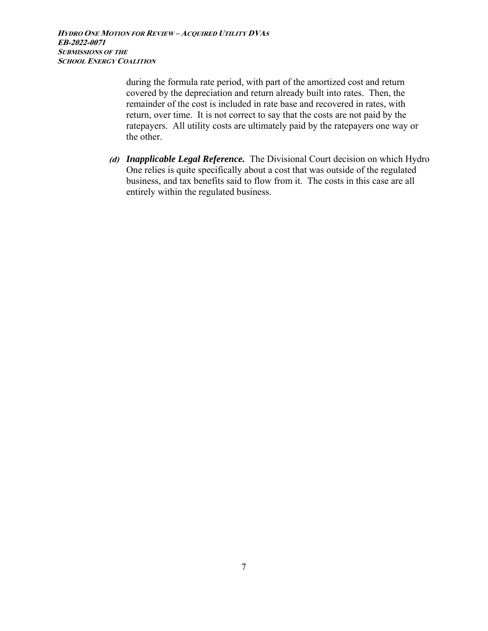**HYDRO ONE MOTION FOR REVIEW – ACQUIRED UTILITY DVA<sup>S</sup> EB-2022-0071 SUBMISSIONS OF THE SCHOOL ENERGY COALITION**

> during the formula rate period, with part of the amortized cost and return covered by the depreciation and return already built into rates. Then, the remainder of the cost is included in rate base and recovered in rates, with return, over time. It is not correct to say that the costs are not paid by the ratepayers. All utility costs are ultimately paid by the ratepayers one way or the other.

**(d)** *Inapplicable Legal Reference.* The Divisional Court decision on which Hydro One relies is quite specifically about a cost that was outside of the regulated business, and tax benefits said to flow from it. The costs in this case are all entirely within the regulated business.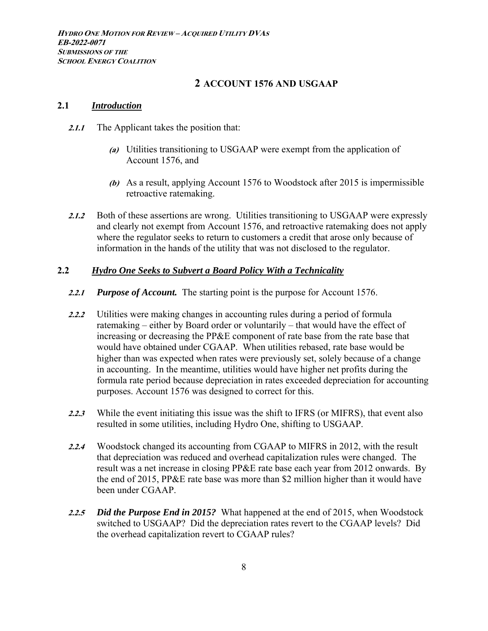## **2 ACCOUNT 1576 AND USGAAP**

#### **2.1** *Introduction*

- **2.1.1** The Applicant takes the position that:
	- **(a)** Utilities transitioning to USGAAP were exempt from the application of Account 1576, and
	- **(b)** As a result, applying Account 1576 to Woodstock after 2015 is impermissible retroactive ratemaking.
- **2.1.2** Both of these assertions are wrong. Utilities transitioning to USGAAP were expressly and clearly not exempt from Account 1576, and retroactive ratemaking does not apply where the regulator seeks to return to customers a credit that arose only because of information in the hands of the utility that was not disclosed to the regulator.

#### **2.2** *Hydro One Seeks to Subvert a Board Policy With a Technicality*

- **2.2.1** *Purpose of Account.* The starting point is the purpose for Account 1576.
- **2.2.2** Utilities were making changes in accounting rules during a period of formula ratemaking – either by Board order or voluntarily – that would have the effect of increasing or decreasing the PP&E component of rate base from the rate base that would have obtained under CGAAP. When utilities rebased, rate base would be higher than was expected when rates were previously set, solely because of a change in accounting. In the meantime, utilities would have higher net profits during the formula rate period because depreciation in rates exceeded depreciation for accounting purposes. Account 1576 was designed to correct for this.
- **2.2.3** While the event initiating this issue was the shift to IFRS (or MIFRS), that event also resulted in some utilities, including Hydro One, shifting to USGAAP.
- **2.2.4** Woodstock changed its accounting from CGAAP to MIFRS in 2012, with the result that depreciation was reduced and overhead capitalization rules were changed. The result was a net increase in closing PP&E rate base each year from 2012 onwards. By the end of 2015, PP&E rate base was more than \$2 million higher than it would have been under CGAAP.
- **2.2.5** *Did the Purpose End in 2015?* What happened at the end of 2015, when Woodstock switched to USGAAP? Did the depreciation rates revert to the CGAAP levels? Did the overhead capitalization revert to CGAAP rules?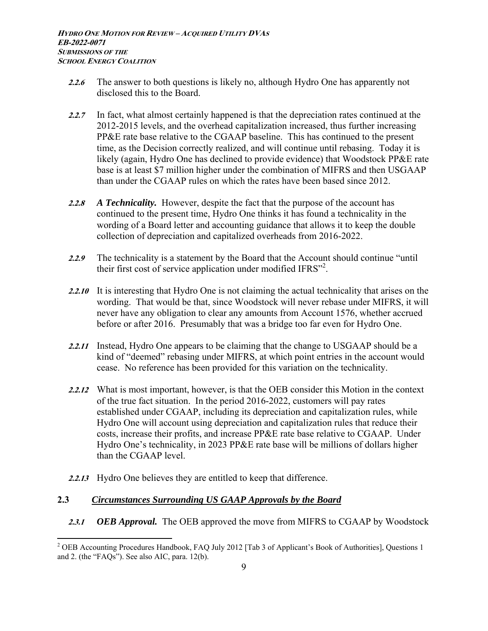- **2.2.6** The answer to both questions is likely no, although Hydro One has apparently not disclosed this to the Board.
- **2.2.7** In fact, what almost certainly happened is that the depreciation rates continued at the 2012-2015 levels, and the overhead capitalization increased, thus further increasing PP&E rate base relative to the CGAAP baseline. This has continued to the present time, as the Decision correctly realized, and will continue until rebasing. Today it is likely (again, Hydro One has declined to provide evidence) that Woodstock PP&E rate base is at least \$7 million higher under the combination of MIFRS and then USGAAP than under the CGAAP rules on which the rates have been based since 2012.
- **2.2.8** *A Technicality.* However, despite the fact that the purpose of the account has continued to the present time, Hydro One thinks it has found a technicality in the wording of a Board letter and accounting guidance that allows it to keep the double collection of depreciation and capitalized overheads from 2016-2022.
- **2.2.9** The technicality is a statement by the Board that the Account should continue "until their first cost of service application under modified IFRS"<sup>2</sup>.
- **2.2.10** It is interesting that Hydro One is not claiming the actual technicality that arises on the wording. That would be that, since Woodstock will never rebase under MIFRS, it will never have any obligation to clear any amounts from Account 1576, whether accrued before or after 2016. Presumably that was a bridge too far even for Hydro One.
- **2.2.11** Instead, Hydro One appears to be claiming that the change to USGAAP should be a kind of "deemed" rebasing under MIFRS, at which point entries in the account would cease. No reference has been provided for this variation on the technicality.
- **2.2.12** What is most important, however, is that the OEB consider this Motion in the context of the true fact situation. In the period 2016-2022, customers will pay rates established under CGAAP, including its depreciation and capitalization rules, while Hydro One will account using depreciation and capitalization rules that reduce their costs, increase their profits, and increase PP&E rate base relative to CGAAP. Under Hydro One's technicality, in 2023 PP&E rate base will be millions of dollars higher than the CGAAP level.
- **2.2.13** Hydro One believes they are entitled to keep that difference.

## **2.3** *Circumstances Surrounding US GAAP Approvals by the Board*

 $\overline{a}$ 

**2.3.1** *OEB Approval.* The OEB approved the move from MIFRS to CGAAP by Woodstock

<sup>&</sup>lt;sup>2</sup> OEB Accounting Procedures Handbook, FAQ July 2012 [Tab 3 of Applicant's Book of Authorities], Questions 1 and 2. (the "FAQs"). See also AIC, para. 12(b).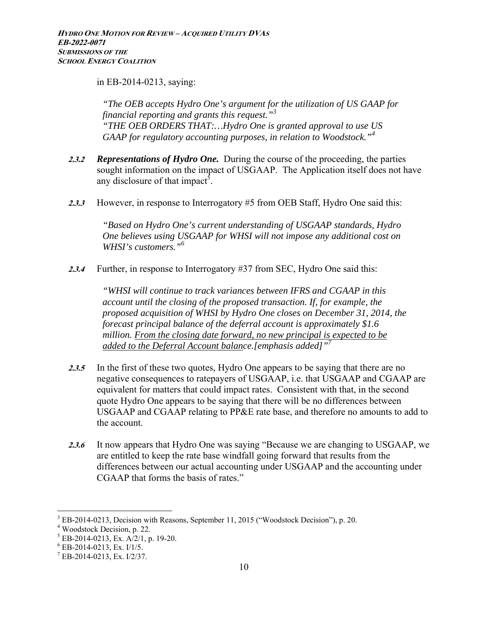in EB-2014-0213, saying:

*"The OEB accepts Hydro One's argument for the utilization of US GAAP for financial reporting and grants this request."3 "THE OEB ORDERS THAT:…Hydro One is granted approval to use US*  GAAP for regulatory accounting purposes, in relation to Woodstock."<sup>4</sup>

- **2.3.2** *Representations of Hydro One.* During the course of the proceeding, the parties sought information on the impact of USGAAP. The Application itself does not have any disclosure of that impact<sup>5</sup>.
- **2.3.3** However, in response to Interrogatory #5 from OEB Staff, Hydro One said this:

*"Based on Hydro One's current understanding of USGAAP standards, Hydro One believes using USGAAP for WHSI will not impose any additional cost on WHSI's customers."<sup>6</sup>*

**2.3.4** Further, in response to Interrogatory #37 from SEC, Hydro One said this:

*"WHSI will continue to track variances between IFRS and CGAAP in this account until the closing of the proposed transaction. If, for example, the proposed acquisition of WHSI by Hydro One closes on December 31, 2014, the forecast principal balance of the deferral account is approximately \$1.6 million. From the closing date forward, no new principal is expected to be added to the Deferral Account balance.[emphasis added]"7*

- **2.3.5** In the first of these two quotes, Hydro One appears to be saying that there are no negative consequences to ratepayers of USGAAP, i.e. that USGAAP and CGAAP are equivalent for matters that could impact rates. Consistent with that, in the second quote Hydro One appears to be saying that there will be no differences between USGAAP and CGAAP relating to PP&E rate base, and therefore no amounts to add to the account.
- **2.3.6** It now appears that Hydro One was saying "Because we are changing to USGAAP, we are entitled to keep the rate base windfall going forward that results from the differences between our actual accounting under USGAAP and the accounting under CGAAP that forms the basis of rates."

 $3$  EB-2014-0213, Decision with Reasons, September 11, 2015 ("Woodstock Decision"), p. 20.

Woodstock Decision, p. 22.

<sup>5</sup> EB-2014-0213, Ex. A/2/1, p. 19-20.

 $6$  EB-2014-0213, Ex. I/1/5.

<sup>7</sup> EB-2014-0213, Ex. I/2/37.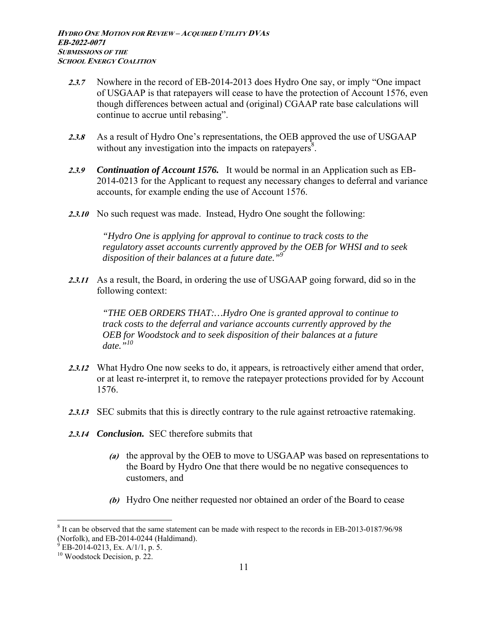- **2.3.7** Nowhere in the record of EB-2014-2013 does Hydro One say, or imply "One impact of USGAAP is that ratepayers will cease to have the protection of Account 1576, even though differences between actual and (original) CGAAP rate base calculations will continue to accrue until rebasing".
- 2.3.8 As a result of Hydro One's representations, the OEB approved the use of USGAAP without any investigation into the impacts on ratepayers<sup>8</sup>.
- **2.3.9** *Continuation of Account 1576.* It would be normal in an Application such as EB-2014-0213 for the Applicant to request any necessary changes to deferral and variance accounts, for example ending the use of Account 1576.
- **2.3.10** No such request was made. Instead, Hydro One sought the following:

*"Hydro One is applying for approval to continue to track costs to the regulatory asset accounts currently approved by the OEB for WHSI and to seek disposition of their balances at a future date."9*

**2.3.11** As a result, the Board, in ordering the use of USGAAP going forward, did so in the following context:

*"THE OEB ORDERS THAT:…Hydro One is granted approval to continue to track costs to the deferral and variance accounts currently approved by the OEB for Woodstock and to seek disposition of their balances at a future date."10* 

- **2.3.12** What Hydro One now seeks to do, it appears, is retroactively either amend that order, or at least re-interpret it, to remove the ratepayer protections provided for by Account 1576.
- 2.3.13 SEC submits that this is directly contrary to the rule against retroactive ratemaking.
- **2.3.14** *Conclusion.* SEC therefore submits that
	- **(a)** the approval by the OEB to move to USGAAP was based on representations to the Board by Hydro One that there would be no negative consequences to customers, and
	- **(b)** Hydro One neither requested nor obtained an order of the Board to cease

<sup>8</sup> It can be observed that the same statement can be made with respect to the records in EB-2013-0187/96/98 (Norfolk), and EB-2014-0244 (Haldimand).

 $^{9}$  EB-2014-0213, Ex. A/1/1, p. 5.

 $10$  Woodstock Decision, p. 22.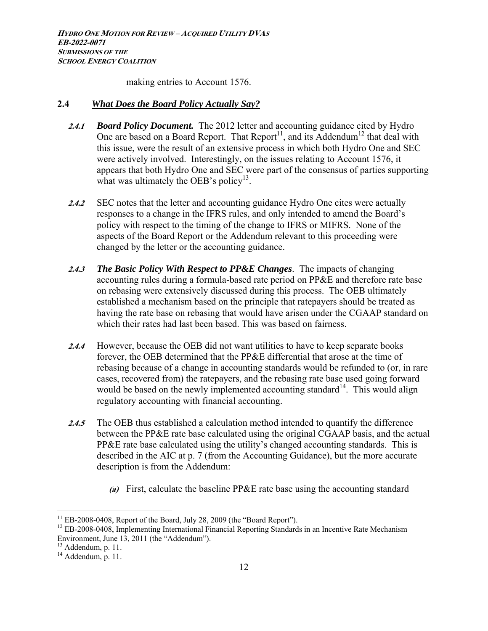making entries to Account 1576.

#### **2.4** *What Does the Board Policy Actually Say?*

- **2.4.1** *Board Policy Document.* The 2012 letter and accounting guidance cited by Hydro One are based on a Board Report. That  $Report<sup>11</sup>$ , and its Addendum<sup>12</sup> that deal with this issue, were the result of an extensive process in which both Hydro One and SEC were actively involved. Interestingly, on the issues relating to Account 1576, it appears that both Hydro One and SEC were part of the consensus of parties supporting what was ultimately the OEB's policy<sup>13</sup>.
- 2.4.2 SEC notes that the letter and accounting guidance Hydro One cites were actually responses to a change in the IFRS rules, and only intended to amend the Board's policy with respect to the timing of the change to IFRS or MIFRS. None of the aspects of the Board Report or the Addendum relevant to this proceeding were changed by the letter or the accounting guidance.
- **2.4.3** *The Basic Policy With Respect to PP&E Changes*. The impacts of changing accounting rules during a formula-based rate period on PP&E and therefore rate base on rebasing were extensively discussed during this process. The OEB ultimately established a mechanism based on the principle that ratepayers should be treated as having the rate base on rebasing that would have arisen under the CGAAP standard on which their rates had last been based. This was based on fairness.
- **2.4.4** However, because the OEB did not want utilities to have to keep separate books forever, the OEB determined that the PP&E differential that arose at the time of rebasing because of a change in accounting standards would be refunded to (or, in rare cases, recovered from) the ratepayers, and the rebasing rate base used going forward would be based on the newly implemented accounting standard<sup>14</sup>. This would align regulatory accounting with financial accounting.
- **2.4.5** The OEB thus established a calculation method intended to quantify the difference between the PP&E rate base calculated using the original CGAAP basis, and the actual PP&E rate base calculated using the utility's changed accounting standards. This is described in the AIC at p. 7 (from the Accounting Guidance), but the more accurate description is from the Addendum:
	- **(a)** First, calculate the baseline PP&E rate base using the accounting standard

<sup>&</sup>lt;sup>11</sup> EB-2008-0408, Report of the Board, July 28, 2009 (the "Board Report").<br><sup>12</sup> EB-2008-0408, Implementing International Financial Reporting Standards in an Incentive Rate Mechanism Environment, June 13, 2011 (the "Addendum").

<sup>&</sup>lt;sup>13</sup> Addendum, p. 11.

 $14$  Addendum, p. 11.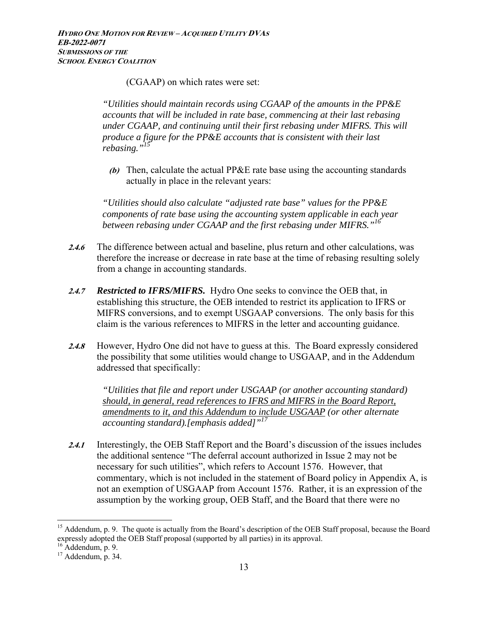(CGAAP) on which rates were set:

*"Utilities should maintain records using CGAAP of the amounts in the PP&E accounts that will be included in rate base, commencing at their last rebasing under CGAAP, and continuing until their first rebasing under MIFRS. This will produce a figure for the PP&E accounts that is consistent with their last rebasing."15*

**(b)** Then, calculate the actual PP&E rate base using the accounting standards actually in place in the relevant years:

*"Utilities should also calculate "adjusted rate base" values for the PP&E components of rate base using the accounting system applicable in each year between rebasing under CGAAP and the first rebasing under MIFRS."16*

- **2.4.6** The difference between actual and baseline, plus return and other calculations, was therefore the increase or decrease in rate base at the time of rebasing resulting solely from a change in accounting standards.
- **2.4.7** *Restricted to IFRS/MIFRS.* Hydro One seeks to convince the OEB that, in establishing this structure, the OEB intended to restrict its application to IFRS or MIFRS conversions, and to exempt USGAAP conversions. The only basis for this claim is the various references to MIFRS in the letter and accounting guidance.
- **2.4.8** However, Hydro One did not have to guess at this. The Board expressly considered the possibility that some utilities would change to USGAAP, and in the Addendum addressed that specifically:

*"Utilities that file and report under USGAAP (or another accounting standard) should, in general, read references to IFRS and MIFRS in the Board Report, amendments to it, and this Addendum to include USGAAP (or other alternate accounting standard).[emphasis added]"17*

**2.4.1** Interestingly, the OEB Staff Report and the Board's discussion of the issues includes the additional sentence "The deferral account authorized in Issue 2 may not be necessary for such utilities", which refers to Account 1576. However, that commentary, which is not included in the statement of Board policy in Appendix A, is not an exemption of USGAAP from Account 1576. Rather, it is an expression of the assumption by the working group, OEB Staff, and the Board that there were no

<sup>&</sup>lt;sup>15</sup> Addendum, p. 9. The quote is actually from the Board's description of the OEB Staff proposal, because the Board expressly adopted the OEB Staff proposal (supported by all parties) in its approval.

 $16$  Addendum, p. 9.

 $17$  Addendum, p. 34.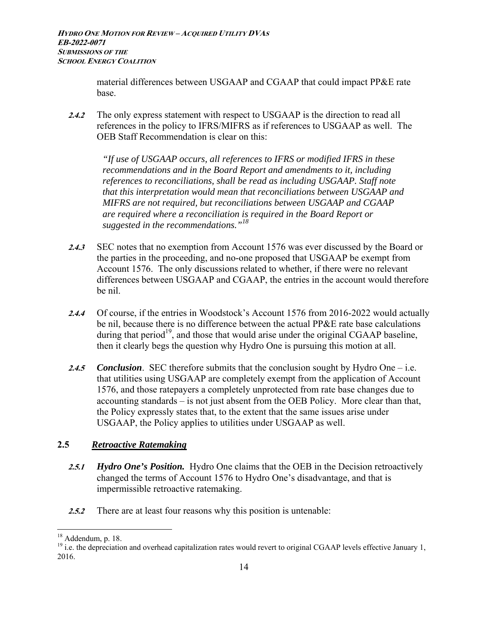material differences between USGAAP and CGAAP that could impact PP&E rate base.

**2.4.2** The only express statement with respect to USGAAP is the direction to read all references in the policy to IFRS/MIFRS as if references to USGAAP as well. The OEB Staff Recommendation is clear on this:

*"If use of USGAAP occurs, all references to IFRS or modified IFRS in these recommendations and in the Board Report and amendments to it, including references to reconciliations, shall be read as including USGAAP. Staff note that this interpretation would mean that reconciliations between USGAAP and MIFRS are not required, but reconciliations between USGAAP and CGAAP are required where a reconciliation is required in the Board Report or suggested in the recommendations."18*

- **2.4.3** SEC notes that no exemption from Account 1576 was ever discussed by the Board or the parties in the proceeding, and no-one proposed that USGAAP be exempt from Account 1576. The only discussions related to whether, if there were no relevant differences between USGAAP and CGAAP, the entries in the account would therefore be nil.
- **2.4.4** Of course, if the entries in Woodstock's Account 1576 from 2016-2022 would actually be nil, because there is no difference between the actual PP&E rate base calculations during that period<sup>19</sup>, and those that would arise under the original CGAAP baseline, then it clearly begs the question why Hydro One is pursuing this motion at all.
- **2.4.5** *Conclusion*. SEC therefore submits that the conclusion sought by Hydro One i.e. that utilities using USGAAP are completely exempt from the application of Account 1576, and those ratepayers a completely unprotected from rate base changes due to accounting standards – is not just absent from the OEB Policy. More clear than that, the Policy expressly states that, to the extent that the same issues arise under USGAAP, the Policy applies to utilities under USGAAP as well.

## **2.5** *Retroactive Ratemaking*

- **2.5.1** *Hydro One's Position.* Hydro One claims that the OEB in the Decision retroactively changed the terms of Account 1576 to Hydro One's disadvantage, and that is impermissible retroactive ratemaking.
- **2.5.2** There are at least four reasons why this position is untenable:

 $18$  Addendum, p. 18.

<sup>&</sup>lt;sup>19</sup> i.e. the depreciation and overhead capitalization rates would revert to original CGAAP levels effective January 1, 2016.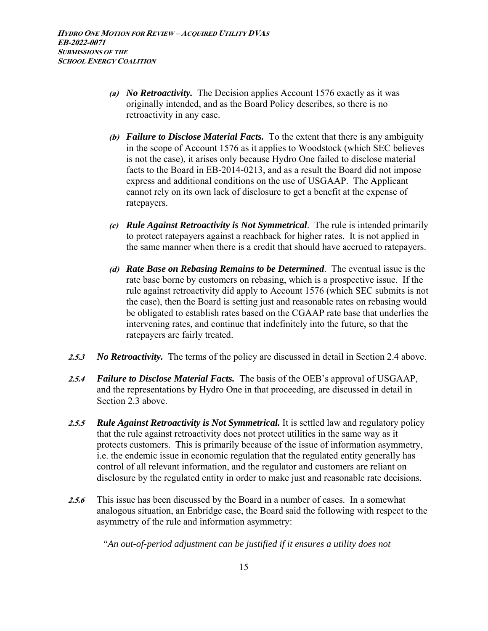- **(a)** *No Retroactivity.* The Decision applies Account 1576 exactly as it was originally intended, and as the Board Policy describes, so there is no retroactivity in any case.
- **(b)** *Failure to Disclose Material Facts.* To the extent that there is any ambiguity in the scope of Account 1576 as it applies to Woodstock (which SEC believes is not the case), it arises only because Hydro One failed to disclose material facts to the Board in EB-2014-0213, and as a result the Board did not impose express and additional conditions on the use of USGAAP. The Applicant cannot rely on its own lack of disclosure to get a benefit at the expense of ratepayers.
- **(c)** *Rule Against Retroactivity is Not Symmetrical*. The rule is intended primarily to protect ratepayers against a reachback for higher rates. It is not applied in the same manner when there is a credit that should have accrued to ratepayers.
- **(d)** *Rate Base on Rebasing Remains to be Determined*. The eventual issue is the rate base borne by customers on rebasing, which is a prospective issue. If the rule against retroactivity did apply to Account 1576 (which SEC submits is not the case), then the Board is setting just and reasonable rates on rebasing would be obligated to establish rates based on the CGAAP rate base that underlies the intervening rates, and continue that indefinitely into the future, so that the ratepayers are fairly treated.
- **2.5.3** *No Retroactivity.* The terms of the policy are discussed in detail in Section 2.4 above.
- **2.5.4** *Failure to Disclose Material Facts.* The basis of the OEB's approval of USGAAP, and the representations by Hydro One in that proceeding, are discussed in detail in Section 2.3 above.
- **2.5.5** *Rule Against Retroactivity is Not Symmetrical.* It is settled law and regulatory policy that the rule against retroactivity does not protect utilities in the same way as it protects customers. This is primarily because of the issue of information asymmetry, i.e. the endemic issue in economic regulation that the regulated entity generally has control of all relevant information, and the regulator and customers are reliant on disclosure by the regulated entity in order to make just and reasonable rate decisions.
- **2.5.6** This issue has been discussed by the Board in a number of cases. In a somewhat analogous situation, an Enbridge case, the Board said the following with respect to the asymmetry of the rule and information asymmetry:

*"An out-of-period adjustment can be justified if it ensures a utility does not*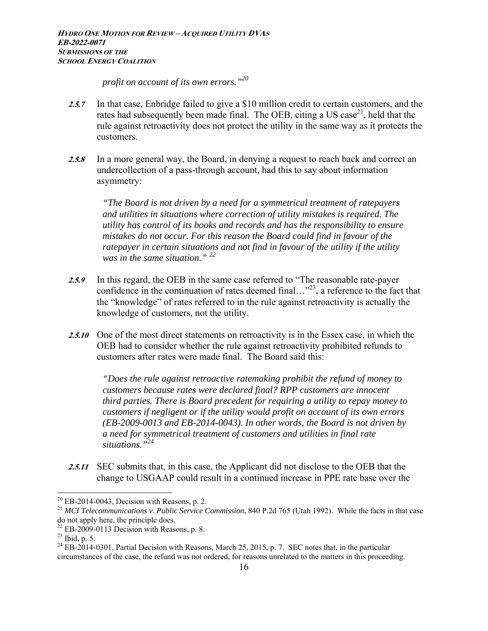*profit on account of its own errors."20*

- **2.5.7** In that case, Enbridge failed to give a \$10 million credit to certain customers, and the rates had subsequently been made final. The OEB, citing a US case<sup>21</sup>, held that the rule against retroactivity does not protect the utility in the same way as it protects the customers.
- **2.5.8** In a more general way, the Board, in denying a request to reach back and correct an undercollection of a pass-through account, had this to say about information asymmetry:

*"The Board is not driven by a need for a symmetrical treatment of ratepayers and utilities in situations where correction of utility mistakes is required. The utility has control of its books and records and has the responsibility to ensure mistakes do not occur. For this reason the Board could find in favour of the ratepayer in certain situations and not find in favour of the utility if the utility was in the same situation." 22*

- **2.5.9** In this regard, the OEB in the same case referred to "The reasonable rate-payer confidence in the continuation of rates deemed final..."<sup>23</sup>, a reference to the fact that the "knowledge" of rates referred to in the rule against retroactivity is actually the knowledge of customers, not the utility.
- **2.5.10** One of the most direct statements on retroactivity is in the Essex case, in which the OEB had to consider whether the rule against retroactivity prohibited refunds to customers after rates were made final. The Board said this:

*"Does the rule against retroactive ratemaking prohibit the refund of money to customers because rates were declared final? RPP customers are innocent third parties. There is Board precedent for requiring a utility to repay money to customers if negligent or if the utility would profit on account of its own errors (EB-2009-0013 and EB-2014-0043). In other words, the Board is not driven by a need for symmetrical treatment of customers and utilities in final rate situations."24*

**2.5.11** SEC submits that, in this case, the Applicant did not disclose to the OEB that the change to USGAAP could result in a continued increase in PPE rate base over the

1

 $20$  EB-2014-0043, Decision with Reasons, p. 2.

<sup>21</sup> *MCI Telecommunications v. Public Service Commission*, 840 P.2d 765 (Utah 1992). While the facts in that case do not apply here, the principle does.

 $22$  EB-2009-0113 Decision with Reasons, p. 8.

 $^{23}$  Ibid, p. 5.

 $^{24}$  EB-2014-0301, Partial Decision with Reasons, March 25, 2015, p. 7. SEC notes that, in the particular circumstances of the case, the refund was not ordered, for reasons unrelated to the matters in this proceeding.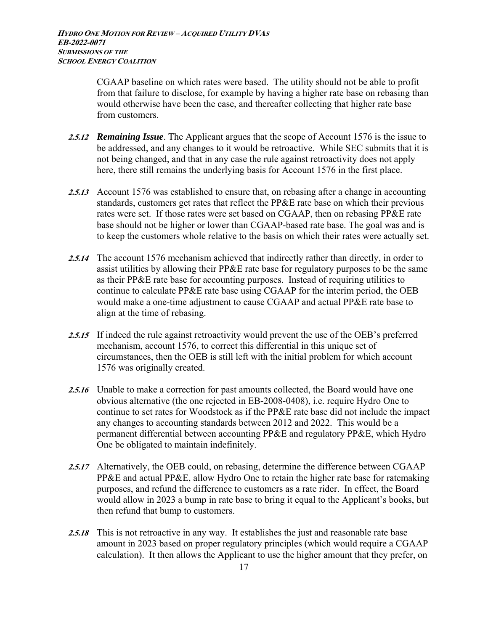CGAAP baseline on which rates were based. The utility should not be able to profit from that failure to disclose, for example by having a higher rate base on rebasing than would otherwise have been the case, and thereafter collecting that higher rate base from customers.

- **2.5.12** *Remaining Issue*. The Applicant argues that the scope of Account 1576 is the issue to be addressed, and any changes to it would be retroactive. While SEC submits that it is not being changed, and that in any case the rule against retroactivity does not apply here, there still remains the underlying basis for Account 1576 in the first place.
- **2.5.13** Account 1576 was established to ensure that, on rebasing after a change in accounting standards, customers get rates that reflect the PP&E rate base on which their previous rates were set. If those rates were set based on CGAAP, then on rebasing PP&E rate base should not be higher or lower than CGAAP-based rate base. The goal was and is to keep the customers whole relative to the basis on which their rates were actually set.
- **2.5.14** The account 1576 mechanism achieved that indirectly rather than directly, in order to assist utilities by allowing their PP&E rate base for regulatory purposes to be the same as their PP&E rate base for accounting purposes. Instead of requiring utilities to continue to calculate PP&E rate base using CGAAP for the interim period, the OEB would make a one-time adjustment to cause CGAAP and actual PP&E rate base to align at the time of rebasing.
- 2.5.15 If indeed the rule against retroactivity would prevent the use of the OEB's preferred mechanism, account 1576, to correct this differential in this unique set of circumstances, then the OEB is still left with the initial problem for which account 1576 was originally created.
- **2.5.16** Unable to make a correction for past amounts collected, the Board would have one obvious alternative (the one rejected in EB-2008-0408), i.e. require Hydro One to continue to set rates for Woodstock as if the PP&E rate base did not include the impact any changes to accounting standards between 2012 and 2022. This would be a permanent differential between accounting PP&E and regulatory PP&E, which Hydro One be obligated to maintain indefinitely.
- **2.5.17** Alternatively, the OEB could, on rebasing, determine the difference between CGAAP PP&E and actual PP&E, allow Hydro One to retain the higher rate base for ratemaking purposes, and refund the difference to customers as a rate rider. In effect, the Board would allow in 2023 a bump in rate base to bring it equal to the Applicant's books, but then refund that bump to customers.
- **2.5.18** This is not retroactive in any way. It establishes the just and reasonable rate base amount in 2023 based on proper regulatory principles (which would require a CGAAP calculation). It then allows the Applicant to use the higher amount that they prefer, on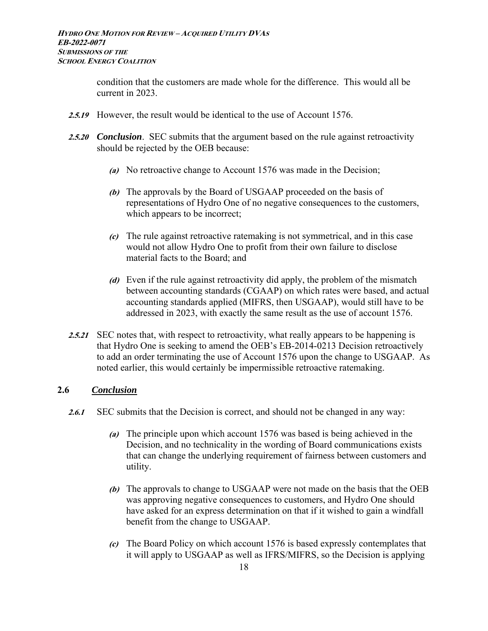condition that the customers are made whole for the difference. This would all be current in 2023.

- **2.5.19** However, the result would be identical to the use of Account 1576.
- **2.5.20** *Conclusion*. SEC submits that the argument based on the rule against retroactivity should be rejected by the OEB because:
	- **(a)** No retroactive change to Account 1576 was made in the Decision;
	- **(b)** The approvals by the Board of USGAAP proceeded on the basis of representations of Hydro One of no negative consequences to the customers, which appears to be incorrect;
	- **(c)** The rule against retroactive ratemaking is not symmetrical, and in this case would not allow Hydro One to profit from their own failure to disclose material facts to the Board; and
	- **(d)** Even if the rule against retroactivity did apply, the problem of the mismatch between accounting standards (CGAAP) on which rates were based, and actual accounting standards applied (MIFRS, then USGAAP), would still have to be addressed in 2023, with exactly the same result as the use of account 1576.
- 2.5.21 SEC notes that, with respect to retroactivity, what really appears to be happening is that Hydro One is seeking to amend the OEB's EB-2014-0213 Decision retroactively to add an order terminating the use of Account 1576 upon the change to USGAAP. As noted earlier, this would certainly be impermissible retroactive ratemaking.

## **2.6** *Conclusion*

- **2.6.1** SEC submits that the Decision is correct, and should not be changed in any way:
	- **(a)** The principle upon which account 1576 was based is being achieved in the Decision, and no technicality in the wording of Board communications exists that can change the underlying requirement of fairness between customers and utility.
	- **(b)** The approvals to change to USGAAP were not made on the basis that the OEB was approving negative consequences to customers, and Hydro One should have asked for an express determination on that if it wished to gain a windfall benefit from the change to USGAAP.
	- **(c)** The Board Policy on which account 1576 is based expressly contemplates that it will apply to USGAAP as well as IFRS/MIFRS, so the Decision is applying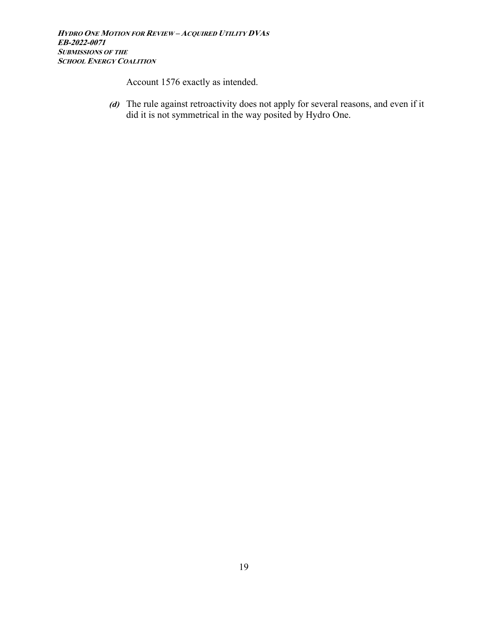Account 1576 exactly as intended.

**(d)** The rule against retroactivity does not apply for several reasons, and even if it did it is not symmetrical in the way posited by Hydro One.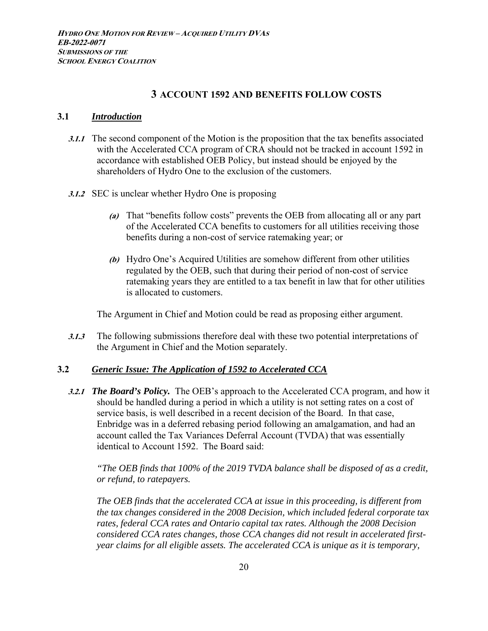## **3 ACCOUNT 1592 AND BENEFITS FOLLOW COSTS**

#### **3.1** *Introduction*

- **3.1.1** The second component of the Motion is the proposition that the tax benefits associated with the Accelerated CCA program of CRA should not be tracked in account 1592 in accordance with established OEB Policy, but instead should be enjoyed by the shareholders of Hydro One to the exclusion of the customers.
- **3.1.2** SEC is unclear whether Hydro One is proposing
	- **(a)** That "benefits follow costs" prevents the OEB from allocating all or any part of the Accelerated CCA benefits to customers for all utilities receiving those benefits during a non-cost of service ratemaking year; or
	- **(b)** Hydro One's Acquired Utilities are somehow different from other utilities regulated by the OEB, such that during their period of non-cost of service ratemaking years they are entitled to a tax benefit in law that for other utilities is allocated to customers.

The Argument in Chief and Motion could be read as proposing either argument.

**3.1.3** The following submissions therefore deal with these two potential interpretations of the Argument in Chief and the Motion separately.

## **3.2** *Generic Issue: The Application of 1592 to Accelerated CCA*

**3.2.1** *The Board's Policy.* The OEB's approach to the Accelerated CCA program, and how it should be handled during a period in which a utility is not setting rates on a cost of service basis, is well described in a recent decision of the Board. In that case, Enbridge was in a deferred rebasing period following an amalgamation, and had an account called the Tax Variances Deferral Account (TVDA) that was essentially identical to Account 1592. The Board said:

*"The OEB finds that 100% of the 2019 TVDA balance shall be disposed of as a credit, or refund, to ratepayers.* 

*The OEB finds that the accelerated CCA at issue in this proceeding, is different from the tax changes considered in the 2008 Decision, which included federal corporate tax rates, federal CCA rates and Ontario capital tax rates. Although the 2008 Decision considered CCA rates changes, those CCA changes did not result in accelerated firstyear claims for all eligible assets. The accelerated CCA is unique as it is temporary,*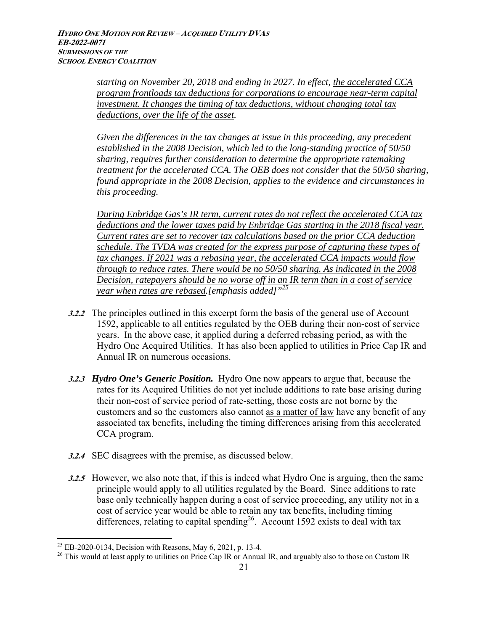*starting on November 20, 2018 and ending in 2027. In effect, the accelerated CCA program frontloads tax deductions for corporations to encourage near-term capital investment. It changes the timing of tax deductions, without changing total tax deductions, over the life of the asset.* 

*Given the differences in the tax changes at issue in this proceeding, any precedent established in the 2008 Decision, which led to the long-standing practice of 50/50 sharing, requires further consideration to determine the appropriate ratemaking treatment for the accelerated CCA. The OEB does not consider that the 50/50 sharing, found appropriate in the 2008 Decision, applies to the evidence and circumstances in this proceeding.* 

*During Enbridge Gas's IR term, current rates do not reflect the accelerated CCA tax deductions and the lower taxes paid by Enbridge Gas starting in the 2018 fiscal year. Current rates are set to recover tax calculations based on the prior CCA deduction schedule. The TVDA was created for the express purpose of capturing these types of tax changes. If 2021 was a rebasing year, the accelerated CCA impacts would flow through to reduce rates. There would be no 50/50 sharing. As indicated in the 2008 Decision, ratepayers should be no worse off in an IR term than in a cost of service year when rates are rebased.[emphasis added]"25* 

- **3.2.2** The principles outlined in this excerpt form the basis of the general use of Account 1592, applicable to all entities regulated by the OEB during their non-cost of service years. In the above case, it applied during a deferred rebasing period, as with the Hydro One Acquired Utilities. It has also been applied to utilities in Price Cap IR and Annual IR on numerous occasions.
- **3.2.3** *Hydro One's Generic Position.* Hydro One now appears to argue that, because the rates for its Acquired Utilities do not yet include additions to rate base arising during their non-cost of service period of rate-setting, those costs are not borne by the customers and so the customers also cannot as a matter of law have any benefit of any associated tax benefits, including the timing differences arising from this accelerated CCA program.
- **3.2.4** SEC disagrees with the premise, as discussed below.
- **3.2.5** However, we also note that, if this is indeed what Hydro One is arguing, then the same principle would apply to all utilities regulated by the Board. Since additions to rate base only technically happen during a cost of service proceeding, any utility not in a cost of service year would be able to retain any tax benefits, including timing differences, relating to capital spending<sup>26</sup>. Account 1592 exists to deal with tax

<u>.</u>

<sup>&</sup>lt;sup>25</sup> EB-2020-0134, Decision with Reasons, May 6, 2021, p. 13-4.

<sup>&</sup>lt;sup>26</sup> This would at least apply to utilities on Price Cap IR or Annual IR, and arguably also to those on Custom IR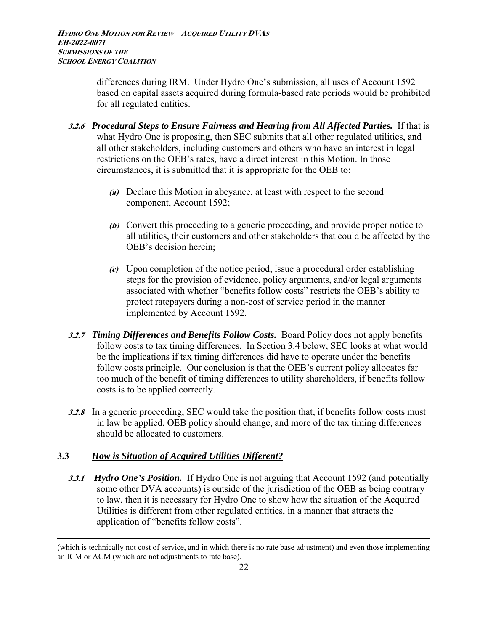differences during IRM. Under Hydro One's submission, all uses of Account 1592 based on capital assets acquired during formula-based rate periods would be prohibited for all regulated entities.

- **3.2.6** *Procedural Steps to Ensure Fairness and Hearing from All Affected Parties.* If that is what Hydro One is proposing, then SEC submits that all other regulated utilities, and all other stakeholders, including customers and others who have an interest in legal restrictions on the OEB's rates, have a direct interest in this Motion. In those circumstances, it is submitted that it is appropriate for the OEB to:
	- **(a)** Declare this Motion in abeyance, at least with respect to the second component, Account 1592;
	- **(b)** Convert this proceeding to a generic proceeding, and provide proper notice to all utilities, their customers and other stakeholders that could be affected by the OEB's decision herein;
	- **(c)** Upon completion of the notice period, issue a procedural order establishing steps for the provision of evidence, policy arguments, and/or legal arguments associated with whether "benefits follow costs" restricts the OEB's ability to protect ratepayers during a non-cost of service period in the manner implemented by Account 1592.
- **3.2.7** *Timing Differences and Benefits Follow Costs.* Board Policy does not apply benefits follow costs to tax timing differences. In Section 3.4 below, SEC looks at what would be the implications if tax timing differences did have to operate under the benefits follow costs principle. Our conclusion is that the OEB's current policy allocates far too much of the benefit of timing differences to utility shareholders, if benefits follow costs is to be applied correctly.
- **3.2.8** In a generic proceeding, SEC would take the position that, if benefits follow costs must in law be applied, OEB policy should change, and more of the tax timing differences should be allocated to customers.

# **3.3** *How is Situation of Acquired Utilities Different?*

**3.3.1** *Hydro One's Position.* If Hydro One is not arguing that Account 1592 (and potentially some other DVA accounts) is outside of the jurisdiction of the OEB as being contrary to law, then it is necessary for Hydro One to show how the situation of the Acquired Utilities is different from other regulated entities, in a manner that attracts the application of "benefits follow costs".

 <sup>(</sup>which is technically not cost of service, and in which there is no rate base adjustment) and even those implementing an ICM or ACM (which are not adjustments to rate base).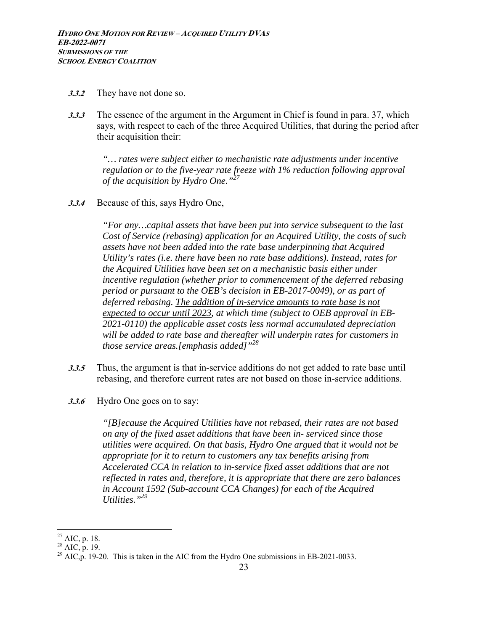- **3.3.2** They have not done so.
- **3.3.3** The essence of the argument in the Argument in Chief is found in para. 37, which says, with respect to each of the three Acquired Utilities, that during the period after their acquisition their:

*"… rates were subject either to mechanistic rate adjustments under incentive regulation or to the five-year rate freeze with 1% reduction following approval of the acquisition by Hydro One."27*

**3.3.4** Because of this, says Hydro One,

*"For any…capital assets that have been put into service subsequent to the last Cost of Service (rebasing) application for an Acquired Utility, the costs of such assets have not been added into the rate base underpinning that Acquired Utility's rates (i.e. there have been no rate base additions). Instead, rates for the Acquired Utilities have been set on a mechanistic basis either under incentive regulation (whether prior to commencement of the deferred rebasing period or pursuant to the OEB's decision in EB-2017-0049), or as part of deferred rebasing. The addition of in-service amounts to rate base is not expected to occur until 2023, at which time (subject to OEB approval in EB-2021-0110) the applicable asset costs less normal accumulated depreciation will be added to rate base and thereafter will underpin rates for customers in those service areas.[emphasis added]"28*

- **3.3.5** Thus, the argument is that in-service additions do not get added to rate base until rebasing, and therefore current rates are not based on those in-service additions.
- **3.3.6** Hydro One goes on to say:

*"[B]ecause the Acquired Utilities have not rebased, their rates are not based on any of the fixed asset additions that have been in- serviced since those utilities were acquired. On that basis, Hydro One argued that it would not be appropriate for it to return to customers any tax benefits arising from Accelerated CCA in relation to in-service fixed asset additions that are not reflected in rates and, therefore, it is appropriate that there are zero balances in Account 1592 (Sub-account CCA Changes) for each of the Acquired Utilities."29* 

 $\overline{a}$  $^{27}$  AIC, p. 18.

 $^{28}$  AIC, p. 19.

 $^{29}$  AIC, p. 19-20. This is taken in the AIC from the Hydro One submissions in EB-2021-0033.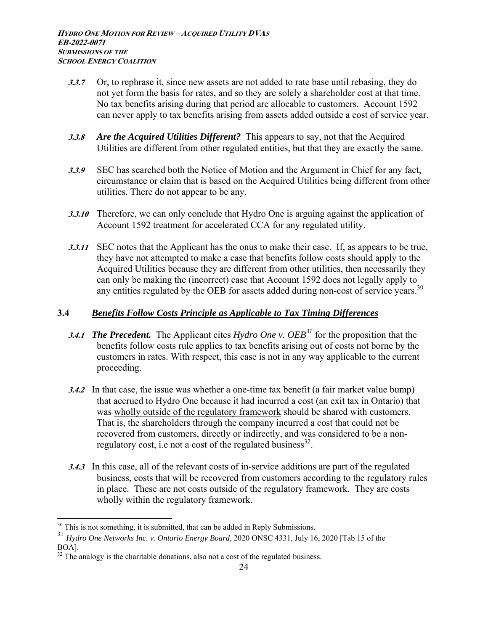- **3.3.7** Or, to rephrase it, since new assets are not added to rate base until rebasing, they do not yet form the basis for rates, and so they are solely a shareholder cost at that time. No tax benefits arising during that period are allocable to customers. Account 1592 can never apply to tax benefits arising from assets added outside a cost of service year.
- **3.3.8** *Are the Acquired Utilities Different?* This appears to say, not that the Acquired Utilities are different from other regulated entities, but that they are exactly the same.
- **3.3.9** SEC has searched both the Notice of Motion and the Argument in Chief for any fact, circumstance or claim that is based on the Acquired Utilities being different from other utilities. There do not appear to be any.
- **3.3.10** Therefore, we can only conclude that Hydro One is arguing against the application of Account 1592 treatment for accelerated CCA for any regulated utility.
- **3.3.11** SEC notes that the Applicant has the onus to make their case. If, as appears to be true, they have not attempted to make a case that benefits follow costs should apply to the Acquired Utilities because they are different from other utilities, then necessarily they can only be making the (incorrect) case that Account 1592 does not legally apply to any entities regulated by the OEB for assets added during non-cost of service years.<sup>30</sup>

## **3.4** *Benefits Follow Costs Principle as Applicable to Tax Timing Differences*

- **3.4.1** *The Precedent.* The Applicant cites *Hydro One v. OEB<sup>31</sup>* for the proposition that the benefits follow costs rule applies to tax benefits arising out of costs not borne by the customers in rates. With respect, this case is not in any way applicable to the current proceeding.
- **3.4.2** In that case, the issue was whether a one-time tax benefit (a fair market value bump) that accrued to Hydro One because it had incurred a cost (an exit tax in Ontario) that was wholly outside of the regulatory framework should be shared with customers. That is, the shareholders through the company incurred a cost that could not be recovered from customers, directly or indirectly, and was considered to be a nonregulatory cost, i.e not a cost of the regulated business $^{32}$ .
- **3.4.3** In this case, all of the relevant costs of in-service additions are part of the regulated business, costs that will be recovered from customers according to the regulatory rules in place. These are not costs outside of the regulatory framework. They are costs wholly within the regulatory framework.

 $30$  This is not something, it is submitted, that can be added in Reply Submissions.

<sup>31</sup> *Hydro One Networks Inc. v. Ontario Energy Board*, 2020 ONSC 4331, July 16, 2020 [Tab 15 of the BOA].

 $32$  The analogy is the charitable donations, also not a cost of the regulated business.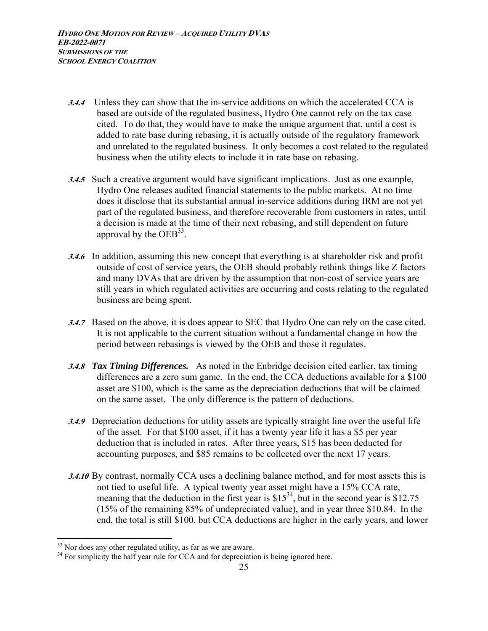- **3.4.4** Unless they can show that the in-service additions on which the accelerated CCA is based are outside of the regulated business, Hydro One cannot rely on the tax case cited. To do that, they would have to make the unique argument that, until a cost is added to rate base during rebasing, it is actually outside of the regulatory framework and unrelated to the regulated business. It only becomes a cost related to the regulated business when the utility elects to include it in rate base on rebasing.
- **3.4.5** Such a creative argument would have significant implications. Just as one example, Hydro One releases audited financial statements to the public markets. At no time does it disclose that its substantial annual in-service additions during IRM are not yet part of the regulated business, and therefore recoverable from customers in rates, until a decision is made at the time of their next rebasing, and still dependent on future approval by the  $OEB^{33}$ .
- **3.4.6** In addition, assuming this new concept that everything is at shareholder risk and profit outside of cost of service years, the OEB should probably rethink things like Z factors and many DVAs that are driven by the assumption that non-cost of service years are still years in which regulated activities are occurring and costs relating to the regulated business are being spent.
- **3.4.7** Based on the above, it is does appear to SEC that Hydro One can rely on the case cited. It is not applicable to the current situation without a fundamental change in how the period between rebasings is viewed by the OEB and those it regulates.
- **3.4.8** *Tax Timing Differences.* As noted in the Enbridge decision cited earlier, tax timing differences are a zero sum game. In the end, the CCA deductions available for a \$100 asset are \$100, which is the same as the depreciation deductions that will be claimed on the same asset. The only difference is the pattern of deductions.
- **3.4.9** Depreciation deductions for utility assets are typically straight line over the useful life of the asset. For that \$100 asset, if it has a twenty year life it has a \$5 per year deduction that is included in rates. After three years, \$15 has been deducted for accounting purposes, and \$85 remains to be collected over the next 17 years.
- **3.4.10** By contrast, normally CCA uses a declining balance method, and for most assets this is not tied to useful life. A typical twenty year asset might have a 15% CCA rate, meaning that the deduction in the first year is  $$15^{34}$ , but in the second year is  $$12.75$ (15% of the remaining 85% of undepreciated value), and in year three \$10.84. In the end, the total is still \$100, but CCA deductions are higher in the early years, and lower

 $33$  Nor does any other regulated utility, as far as we are aware.

<sup>&</sup>lt;sup>34</sup> For simplicity the half year rule for CCA and for depreciation is being ignored here.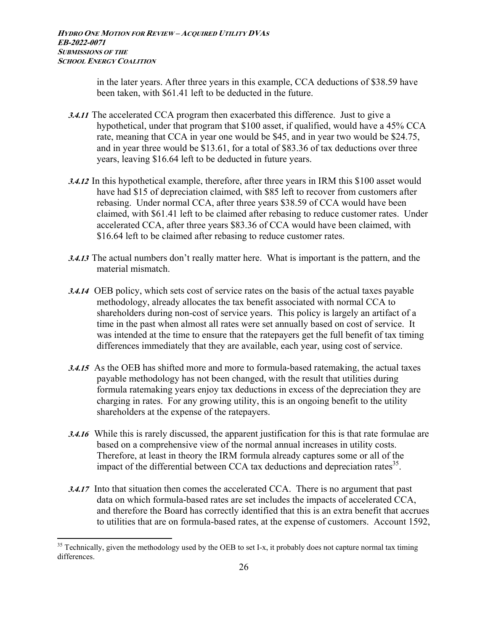in the later years. After three years in this example, CCA deductions of \$38.59 have been taken, with \$61.41 left to be deducted in the future.

- **3.4.11** The accelerated CCA program then exacerbated this difference. Just to give a hypothetical, under that program that \$100 asset, if qualified, would have a 45% CCA rate, meaning that CCA in year one would be \$45, and in year two would be \$24.75, and in year three would be \$13.61, for a total of \$83.36 of tax deductions over three years, leaving \$16.64 left to be deducted in future years.
- **3.4.12** In this hypothetical example, therefore, after three years in IRM this \$100 asset would have had \$15 of depreciation claimed, with \$85 left to recover from customers after rebasing. Under normal CCA, after three years \$38.59 of CCA would have been claimed, with \$61.41 left to be claimed after rebasing to reduce customer rates. Under accelerated CCA, after three years \$83.36 of CCA would have been claimed, with \$16.64 left to be claimed after rebasing to reduce customer rates.
- **3.4.13** The actual numbers don't really matter here. What is important is the pattern, and the material mismatch.
- **3.4.14** OEB policy, which sets cost of service rates on the basis of the actual taxes payable methodology, already allocates the tax benefit associated with normal CCA to shareholders during non-cost of service years. This policy is largely an artifact of a time in the past when almost all rates were set annually based on cost of service. It was intended at the time to ensure that the ratepayers get the full benefit of tax timing differences immediately that they are available, each year, using cost of service.
- **3.4.15** As the OEB has shifted more and more to formula-based ratemaking, the actual taxes payable methodology has not been changed, with the result that utilities during formula ratemaking years enjoy tax deductions in excess of the depreciation they are charging in rates. For any growing utility, this is an ongoing benefit to the utility shareholders at the expense of the ratepayers.
- **3.4.16** While this is rarely discussed, the apparent justification for this is that rate formulae are based on a comprehensive view of the normal annual increases in utility costs. Therefore, at least in theory the IRM formula already captures some or all of the impact of the differential between CCA tax deductions and depreciation rates  $35$ .
- **3.4.17** Into that situation then comes the accelerated CCA. There is no argument that past data on which formula-based rates are set includes the impacts of accelerated CCA, and therefore the Board has correctly identified that this is an extra benefit that accrues to utilities that are on formula-based rates, at the expense of customers. Account 1592,

 $35$  Technically, given the methodology used by the OEB to set I-x, it probably does not capture normal tax timing differences.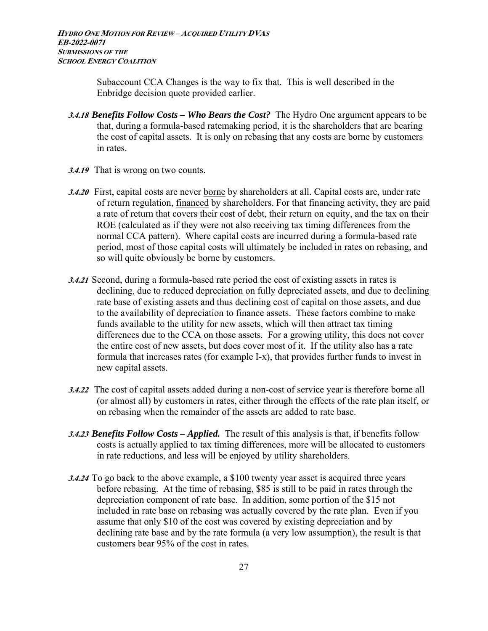Subaccount CCA Changes is the way to fix that. This is well described in the Enbridge decision quote provided earlier.

- **3.4.18** *Benefits Follow Costs Who Bears the Cost?* The Hydro One argument appears to be that, during a formula-based ratemaking period, it is the shareholders that are bearing the cost of capital assets. It is only on rebasing that any costs are borne by customers in rates.
- **3.4.19** That is wrong on two counts.
- **3.4.20** First, capital costs are never borne by shareholders at all. Capital costs are, under rate of return regulation, financed by shareholders. For that financing activity, they are paid a rate of return that covers their cost of debt, their return on equity, and the tax on their ROE (calculated as if they were not also receiving tax timing differences from the normal CCA pattern). Where capital costs are incurred during a formula-based rate period, most of those capital costs will ultimately be included in rates on rebasing, and so will quite obviously be borne by customers.
- **3.4.21** Second, during a formula-based rate period the cost of existing assets in rates is declining, due to reduced depreciation on fully depreciated assets, and due to declining rate base of existing assets and thus declining cost of capital on those assets, and due to the availability of depreciation to finance assets. These factors combine to make funds available to the utility for new assets, which will then attract tax timing differences due to the CCA on those assets. For a growing utility, this does not cover the entire cost of new assets, but does cover most of it. If the utility also has a rate formula that increases rates (for example I-x), that provides further funds to invest in new capital assets.
- **3.4.22** The cost of capital assets added during a non-cost of service year is therefore borne all (or almost all) by customers in rates, either through the effects of the rate plan itself, or on rebasing when the remainder of the assets are added to rate base.
- **3.4.23** *Benefits Follow Costs Applied.* The result of this analysis is that, if benefits follow costs is actually applied to tax timing differences, more will be allocated to customers in rate reductions, and less will be enjoyed by utility shareholders.
- **3.4.24** To go back to the above example, a \$100 twenty year asset is acquired three years before rebasing. At the time of rebasing, \$85 is still to be paid in rates through the depreciation component of rate base. In addition, some portion of the \$15 not included in rate base on rebasing was actually covered by the rate plan. Even if you assume that only \$10 of the cost was covered by existing depreciation and by declining rate base and by the rate formula (a very low assumption), the result is that customers bear 95% of the cost in rates.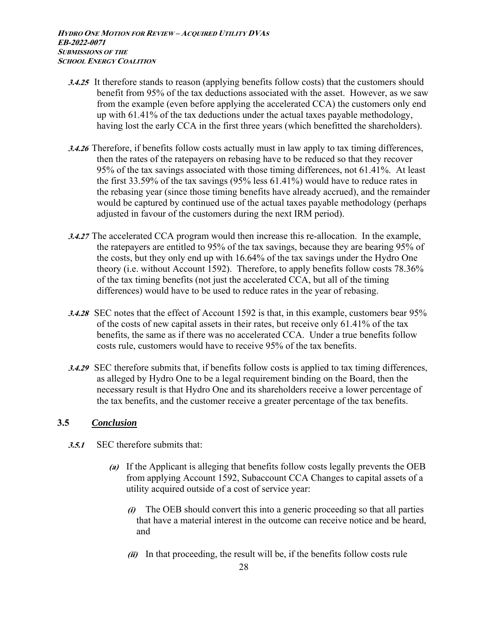- **3.4.25** It therefore stands to reason (applying benefits follow costs) that the customers should benefit from 95% of the tax deductions associated with the asset. However, as we saw from the example (even before applying the accelerated CCA) the customers only end up with 61.41% of the tax deductions under the actual taxes payable methodology, having lost the early CCA in the first three years (which benefitted the shareholders).
- **3.4.26** Therefore, if benefits follow costs actually must in law apply to tax timing differences, then the rates of the ratepayers on rebasing have to be reduced so that they recover 95% of the tax savings associated with those timing differences, not 61.41%. At least the first 33.59% of the tax savings (95% less 61.41%) would have to reduce rates in the rebasing year (since those timing benefits have already accrued), and the remainder would be captured by continued use of the actual taxes payable methodology (perhaps adjusted in favour of the customers during the next IRM period).
- **3.4.27** The accelerated CCA program would then increase this re-allocation. In the example, the ratepayers are entitled to 95% of the tax savings, because they are bearing 95% of the costs, but they only end up with 16.64% of the tax savings under the Hydro One theory (i.e. without Account 1592). Therefore, to apply benefits follow costs 78.36% of the tax timing benefits (not just the accelerated CCA, but all of the timing differences) would have to be used to reduce rates in the year of rebasing.
- **3.4.28** SEC notes that the effect of Account 1592 is that, in this example, customers bear 95% of the costs of new capital assets in their rates, but receive only 61.41% of the tax benefits, the same as if there was no accelerated CCA. Under a true benefits follow costs rule, customers would have to receive 95% of the tax benefits.
- **3.4.29** SEC therefore submits that, if benefits follow costs is applied to tax timing differences, as alleged by Hydro One to be a legal requirement binding on the Board, then the necessary result is that Hydro One and its shareholders receive a lower percentage of the tax benefits, and the customer receive a greater percentage of the tax benefits.

## **3.5** *Conclusion*

- **3.5.1** SEC therefore submits that:
	- **(a)** If the Applicant is alleging that benefits follow costs legally prevents the OEB from applying Account 1592, Subaccount CCA Changes to capital assets of a utility acquired outside of a cost of service year:
		- **(i)** The OEB should convert this into a generic proceeding so that all parties that have a material interest in the outcome can receive notice and be heard, and
		- **(ii)** In that proceeding, the result will be, if the benefits follow costs rule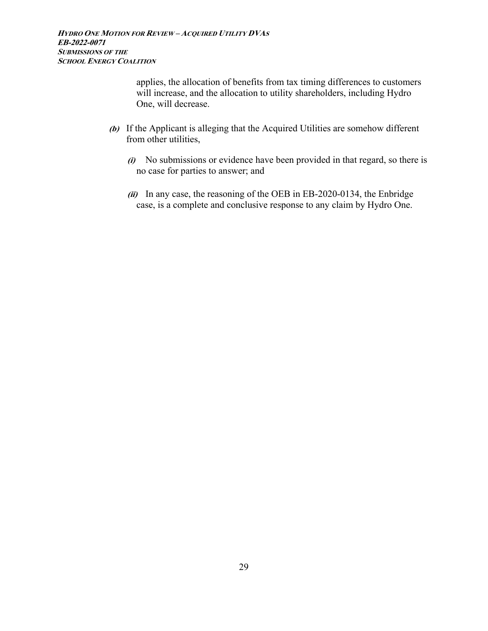applies, the allocation of benefits from tax timing differences to customers will increase, and the allocation to utility shareholders, including Hydro One, will decrease.

- **(b)** If the Applicant is alleging that the Acquired Utilities are somehow different from other utilities,
	- **(i)** No submissions or evidence have been provided in that regard, so there is no case for parties to answer; and
	- **(ii)** In any case, the reasoning of the OEB in EB-2020-0134, the Enbridge case, is a complete and conclusive response to any claim by Hydro One.